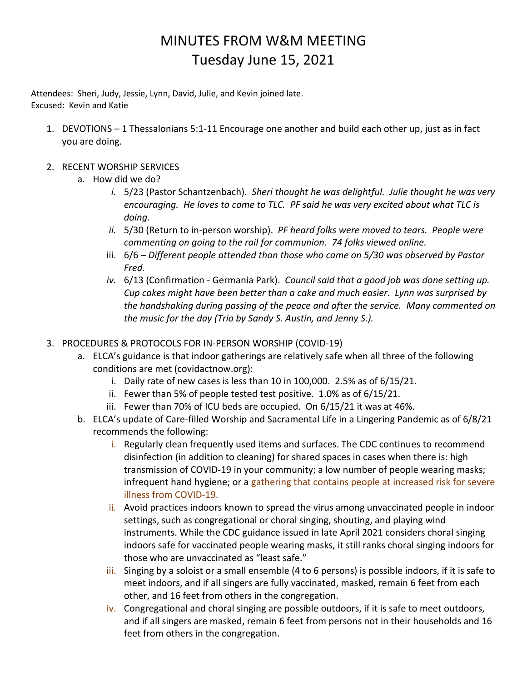## MINUTES FROM W&M MEETING Tuesday June 15, 2021

Attendees: Sheri, Judy, Jessie, Lynn, David, Julie, and Kevin joined late. Excused: Kevin and Katie

- 1. DEVOTIONS 1 Thessalonians 5:1-11 Encourage one another and build each other up, just as in fact you are doing.
- 2. RECENT WORSHIP SERVICES
	- a. How did we do?
		- *i.* 5/23 (Pastor Schantzenbach). *Sheri thought he was delightful. Julie thought he was very encouraging. He loves to come to TLC. PF said he was very excited about what TLC is doing.*
		- *ii.* 5/30 (Return to in-person worship). *PF heard folks were moved to tears. People were commenting on going to the rail for communion. 74 folks viewed online.*
		- iii. 6/6 *Different people attended than those who came on 5/30 was observed by Pastor Fred.*
		- *iv.* 6/13 (Confirmation Germania Park). *Council said that a good job was done setting up. Cup cakes might have been better than a cake and much easier. Lynn was surprised by the handshaking during passing of the peace and after the service. Many commented on the music for the day (Trio by Sandy S. Austin, and Jenny S.).*
- 3. PROCEDURES & PROTOCOLS FOR IN-PERSON WORSHIP (COVID-19)
	- a. ELCA's guidance is that indoor gatherings are relatively safe when all three of the following conditions are met (covidactnow.org):
		- i. Daily rate of new cases is less than 10 in 100,000. 2.5% as of 6/15/21.
		- ii. Fewer than 5% of people tested test positive. 1.0% as of 6/15/21.
		- iii. Fewer than 70% of ICU beds are occupied. On 6/15/21 it was at 46%.
	- b. ELCA's update of Care-filled Worship and Sacramental Life in a Lingering Pandemic as of 6/8/21 recommends the following:
		- i. Regularly clean frequently used items and surfaces. The CDC continues to recommend disinfection (in addition to cleaning) for shared spaces in cases when there is: high transmission of COVID-19 in your community; a low number of people wearing masks; infrequent hand hygiene; or a gathering that contains people at increased risk for severe illness from COVID-19.
		- ii. Avoid practices indoors known to spread the virus among unvaccinated people in indoor settings, such as congregational or choral singing, shouting, and playing wind instruments. While the CDC guidance issued in late April 2021 considers choral singing indoors safe for vaccinated people wearing masks, it still ranks choral singing indoors for those who are unvaccinated as "least safe."
		- iii. Singing by a soloist or a small ensemble (4 to 6 persons) is possible indoors, if it is safe to meet indoors, and if all singers are fully vaccinated, masked, remain 6 feet from each other, and 16 feet from others in the congregation.
		- iv. Congregational and choral singing are possible outdoors, if it is safe to meet outdoors, and if all singers are masked, remain 6 feet from persons not in their households and 16 feet from others in the congregation.